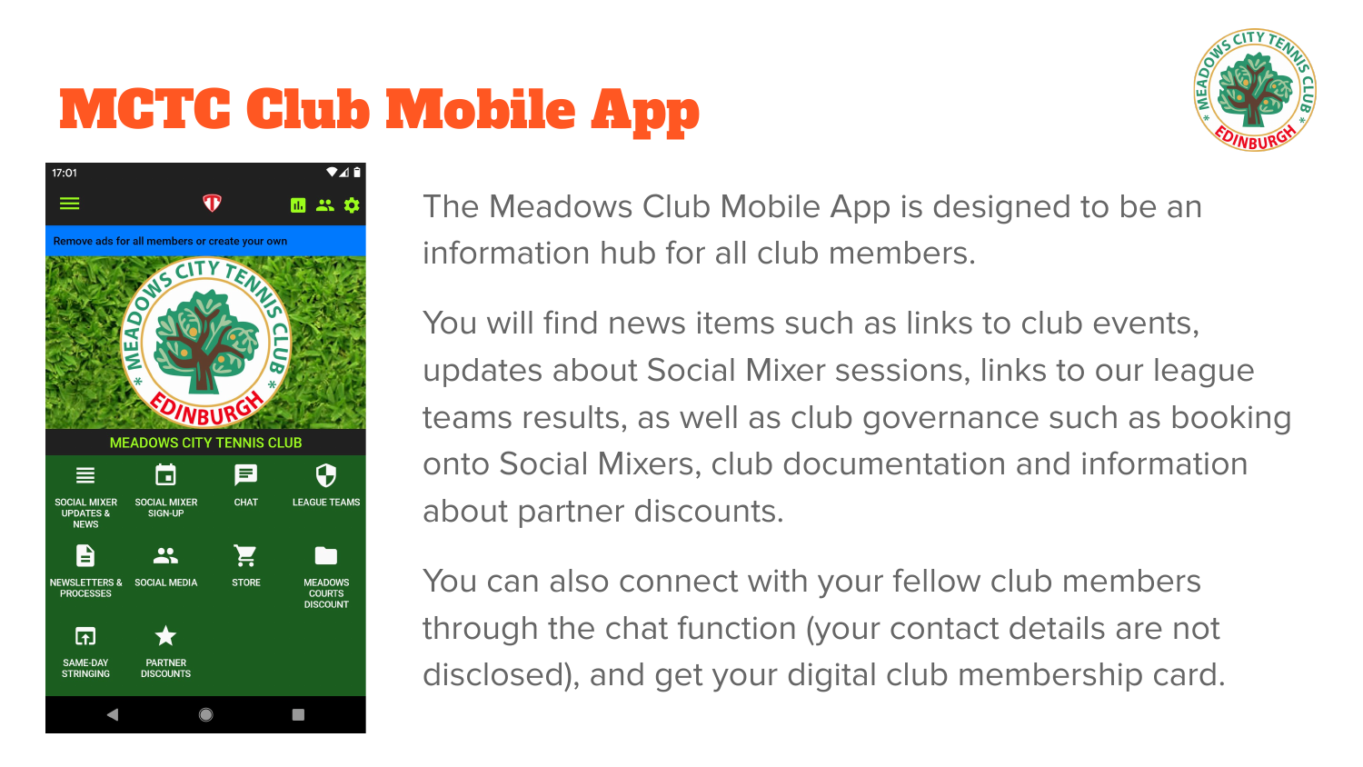## MCTC Club Mobile App





The Meadows Club Mobile App is designed to be an information hub for all club members.

You will find news items such as links to club events, updates about Social Mixer sessions, links to our league teams results, as well as club governance such as booking onto Social Mixers, club documentation and information about partner discounts.

You can also connect with your fellow club members through the chat function (your contact details are not disclosed), and get your digital club membership card.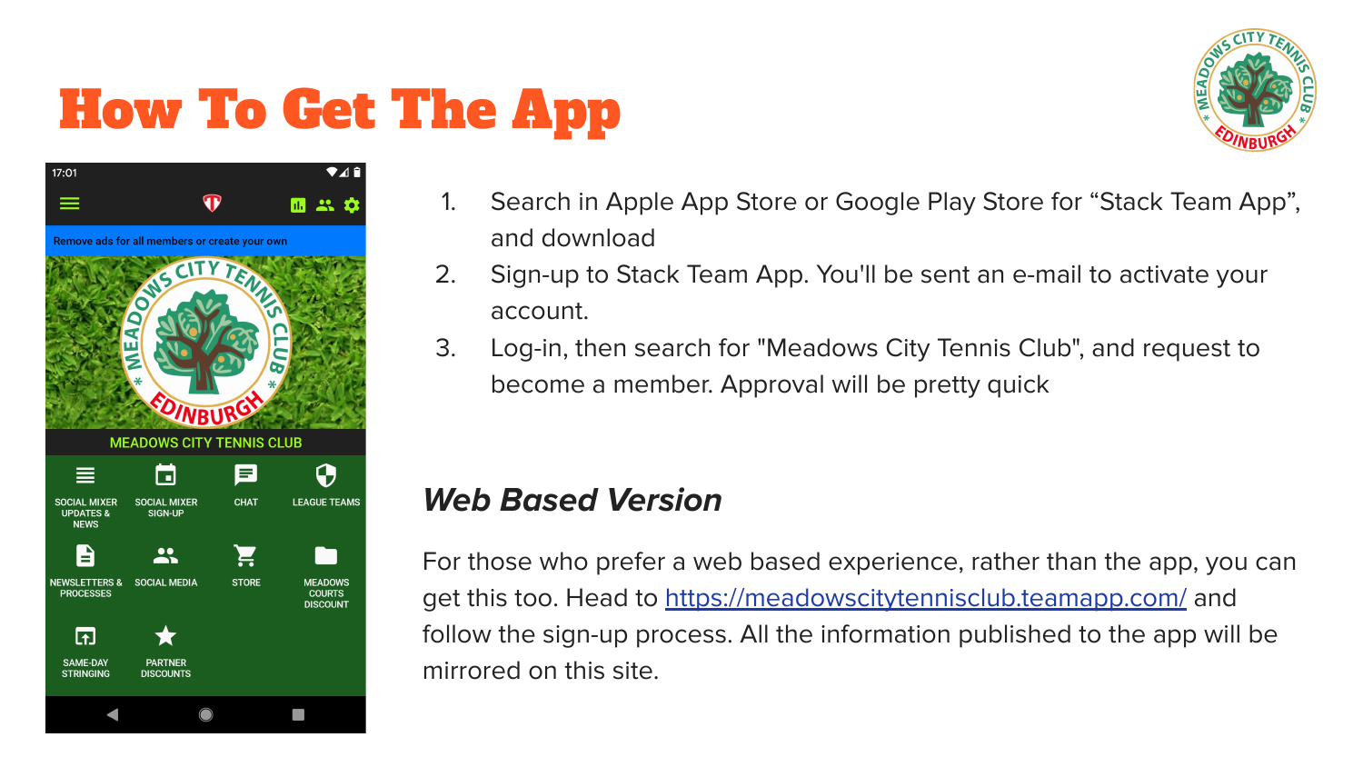## How To Get The App





- 1. Search in Apple App Store or Google Play Store for "Stack Team App", and download
- 2. Sign-up to Stack Team App. You'll be sent an e-mail to activate your account.
- 3. Log-in, then search for "Meadows City Tennis Club", and request to become a member. Approval will be pretty quick

#### **Web Based Version**

For those who prefer a web based experience, rather than the app, you can get this too. Head to<https://meadowscitytennisclub.teamapp.com/>and follow the sign-up process. All the information published to the app will be mirrored on this site.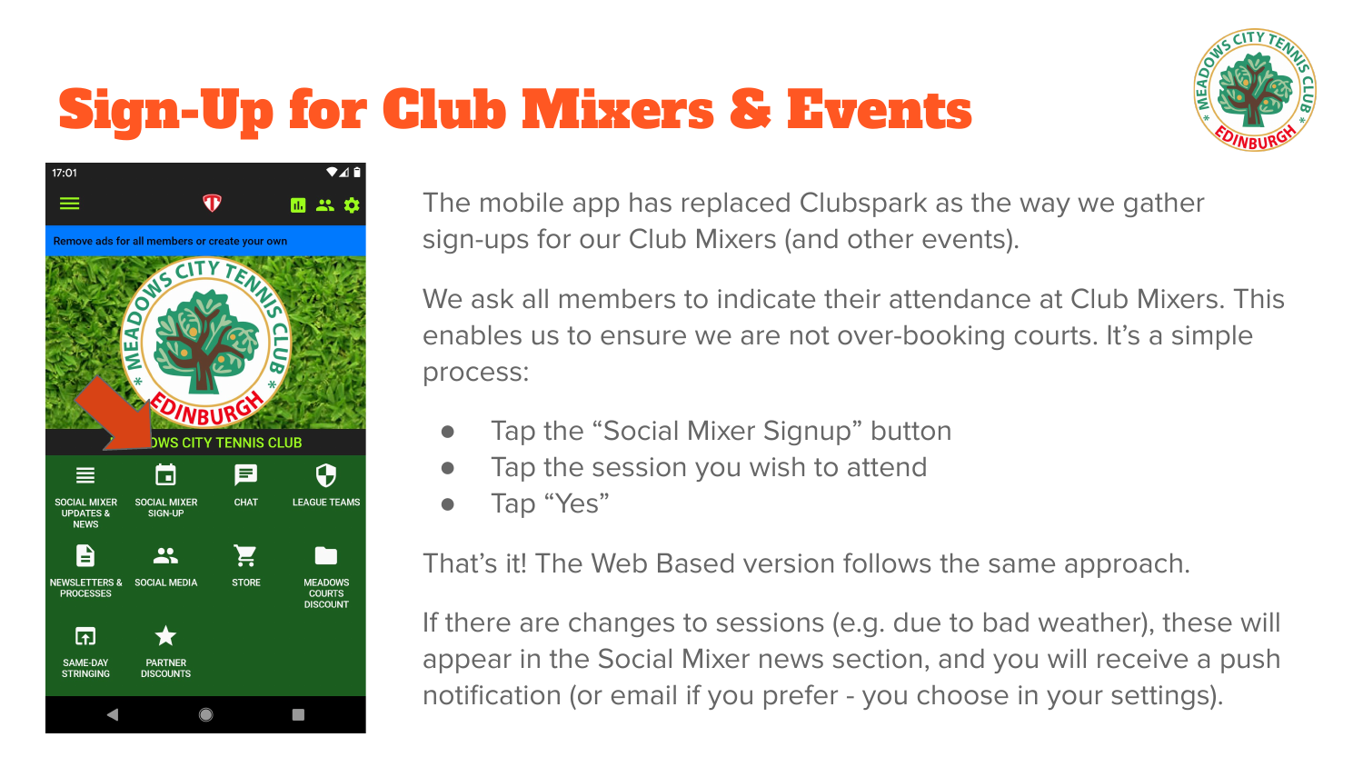# Sign-Up for Club Mixers & Events





The mobile app has replaced Clubspark as the way we gather sign-ups for our Club Mixers (and other events).

We ask all members to indicate their attendance at Club Mixers. This enables us to ensure we are not over-booking courts. It's a simple process:

- Tap the "Social Mixer Signup" button
- Tap the session you wish to attend
- Tap "Yes"

That's it! The Web Based version follows the same approach.

If there are changes to sessions (e.g. due to bad weather), these will appear in the Social Mixer news section, and you will receive a push notification (or email if you prefer - you choose in your settings).